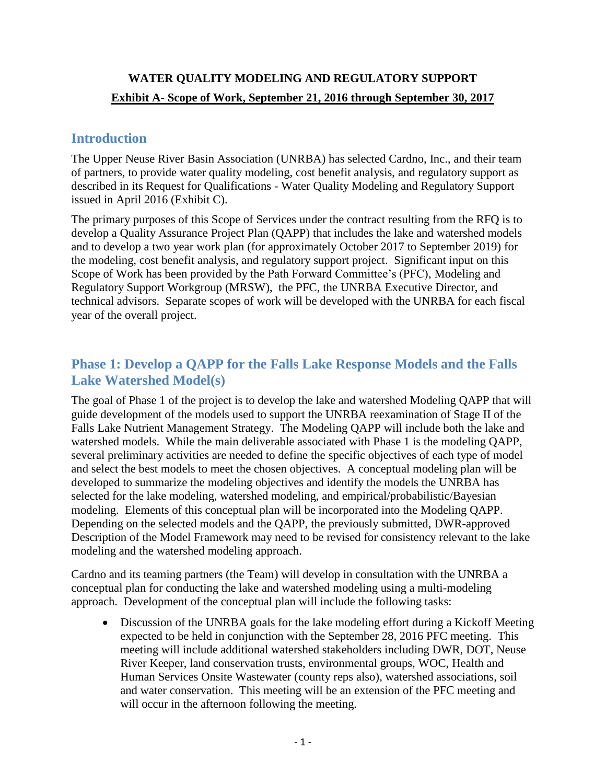# **WATER QUALITY MODELING AND REGULATORY SUPPORT Exhibit A- Scope of Work, September 21, 2016 through September 30, 2017**

## **Introduction**

The Upper Neuse River Basin Association (UNRBA) has selected Cardno, Inc., and their team of partners, to provide water quality modeling, cost benefit analysis, and regulatory support as described in its Request for Qualifications - Water Quality Modeling and Regulatory Support issued in April 2016 (Exhibit C).

The primary purposes of this Scope of Services under the contract resulting from the RFQ is to develop a Quality Assurance Project Plan (QAPP) that includes the lake and watershed models and to develop a two year work plan (for approximately October 2017 to September 2019) for the modeling, cost benefit analysis, and regulatory support project. Significant input on this Scope of Work has been provided by the Path Forward Committee's (PFC), Modeling and Regulatory Support Workgroup (MRSW), the PFC, the UNRBA Executive Director, and technical advisors. Separate scopes of work will be developed with the UNRBA for each fiscal year of the overall project.

# **Phase 1: Develop a QAPP for the Falls Lake Response Models and the Falls Lake Watershed Model(s)**

The goal of Phase 1 of the project is to develop the lake and watershed Modeling QAPP that will guide development of the models used to support the UNRBA reexamination of Stage II of the Falls Lake Nutrient Management Strategy. The Modeling QAPP will include both the lake and watershed models. While the main deliverable associated with Phase 1 is the modeling QAPP, several preliminary activities are needed to define the specific objectives of each type of model and select the best models to meet the chosen objectives. A conceptual modeling plan will be developed to summarize the modeling objectives and identify the models the UNRBA has selected for the lake modeling, watershed modeling, and empirical/probabilistic/Bayesian modeling. Elements of this conceptual plan will be incorporated into the Modeling QAPP. Depending on the selected models and the QAPP, the previously submitted, DWR-approved Description of the Model Framework may need to be revised for consistency relevant to the lake modeling and the watershed modeling approach.

Cardno and its teaming partners (the Team) will develop in consultation with the UNRBA a conceptual plan for conducting the lake and watershed modeling using a multi-modeling approach. Development of the conceptual plan will include the following tasks:

 Discussion of the UNRBA goals for the lake modeling effort during a Kickoff Meeting expected to be held in conjunction with the September 28, 2016 PFC meeting. This meeting will include additional watershed stakeholders including DWR, DOT, Neuse River Keeper, land conservation trusts, environmental groups, WOC, Health and Human Services Onsite Wastewater (county reps also), watershed associations, soil and water conservation. This meeting will be an extension of the PFC meeting and will occur in the afternoon following the meeting.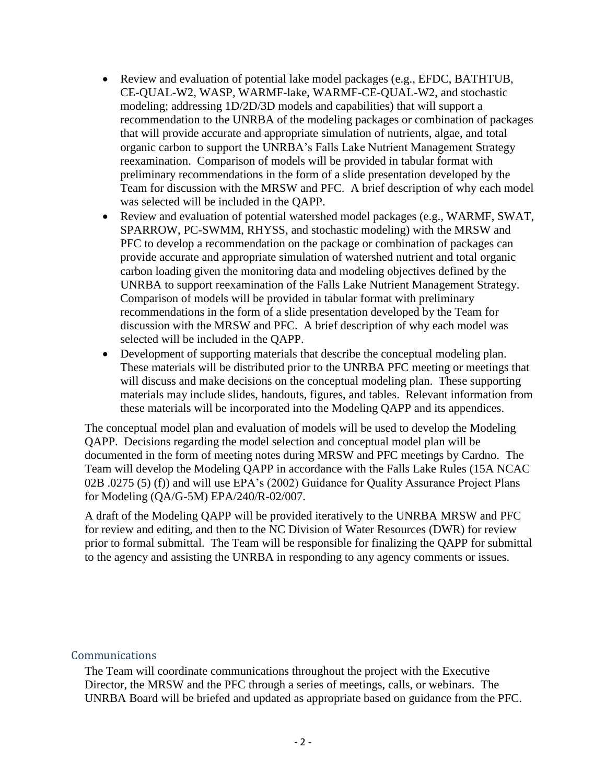- Review and evaluation of potential lake model packages (e.g., EFDC, BATHTUB, CE-QUAL-W2, WASP, WARMF-lake, WARMF-CE-QUAL-W2, and stochastic modeling; addressing 1D/2D/3D models and capabilities) that will support a recommendation to the UNRBA of the modeling packages or combination of packages that will provide accurate and appropriate simulation of nutrients, algae, and total organic carbon to support the UNRBA's Falls Lake Nutrient Management Strategy reexamination. Comparison of models will be provided in tabular format with preliminary recommendations in the form of a slide presentation developed by the Team for discussion with the MRSW and PFC. A brief description of why each model was selected will be included in the QAPP.
- Review and evaluation of potential watershed model packages (e.g., WARMF, SWAT, SPARROW, PC-SWMM, RHYSS, and stochastic modeling) with the MRSW and PFC to develop a recommendation on the package or combination of packages can provide accurate and appropriate simulation of watershed nutrient and total organic carbon loading given the monitoring data and modeling objectives defined by the UNRBA to support reexamination of the Falls Lake Nutrient Management Strategy. Comparison of models will be provided in tabular format with preliminary recommendations in the form of a slide presentation developed by the Team for discussion with the MRSW and PFC. A brief description of why each model was selected will be included in the QAPP.
- Development of supporting materials that describe the conceptual modeling plan. These materials will be distributed prior to the UNRBA PFC meeting or meetings that will discuss and make decisions on the conceptual modeling plan. These supporting materials may include slides, handouts, figures, and tables. Relevant information from these materials will be incorporated into the Modeling QAPP and its appendices.

The conceptual model plan and evaluation of models will be used to develop the Modeling QAPP. Decisions regarding the model selection and conceptual model plan will be documented in the form of meeting notes during MRSW and PFC meetings by Cardno. The Team will develop the Modeling QAPP in accordance with the Falls Lake Rules (15A NCAC 02B .0275 (5) (f)) and will use EPA's (2002) Guidance for Quality Assurance Project Plans for Modeling (QA/G-5M) EPA/240/R-02/007.

A draft of the Modeling QAPP will be provided iteratively to the UNRBA MRSW and PFC for review and editing, and then to the NC Division of Water Resources (DWR) for review prior to formal submittal. The Team will be responsible for finalizing the QAPP for submittal to the agency and assisting the UNRBA in responding to any agency comments or issues.

#### Communications

The Team will coordinate communications throughout the project with the Executive Director, the MRSW and the PFC through a series of meetings, calls, or webinars. The UNRBA Board will be briefed and updated as appropriate based on guidance from the PFC.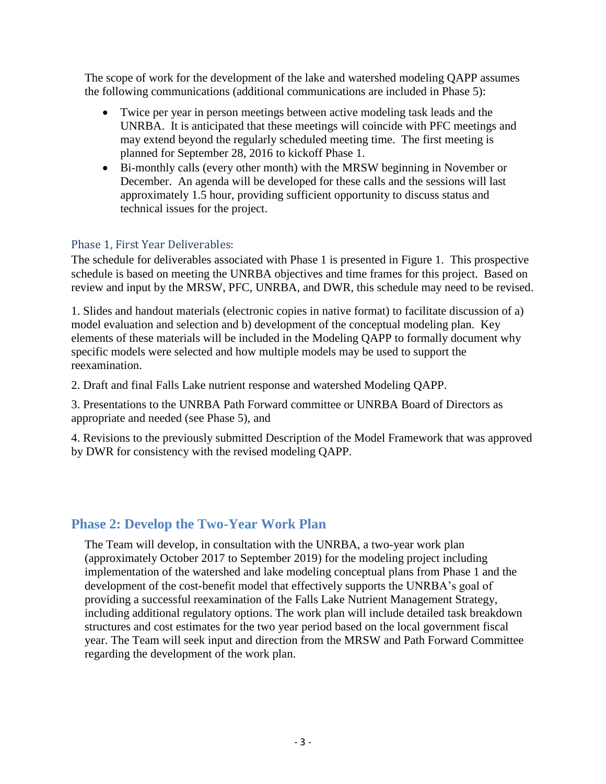The scope of work for the development of the lake and watershed modeling QAPP assumes the following communications (additional communications are included in Phase 5):

- Twice per year in person meetings between active modeling task leads and the UNRBA. It is anticipated that these meetings will coincide with PFC meetings and may extend beyond the regularly scheduled meeting time. The first meeting is planned for September 28, 2016 to kickoff Phase 1.
- Bi-monthly calls (every other month) with the MRSW beginning in November or December. An agenda will be developed for these calls and the sessions will last approximately 1.5 hour, providing sufficient opportunity to discuss status and technical issues for the project.

### Phase 1, First Year Deliverables:

The schedule for deliverables associated with Phase 1 is presented in Figure 1. This prospective schedule is based on meeting the UNRBA objectives and time frames for this project. Based on review and input by the MRSW, PFC, UNRBA, and DWR, this schedule may need to be revised.

1. Slides and handout materials (electronic copies in native format) to facilitate discussion of a) model evaluation and selection and b) development of the conceptual modeling plan. Key elements of these materials will be included in the Modeling QAPP to formally document why specific models were selected and how multiple models may be used to support the reexamination.

2. Draft and final Falls Lake nutrient response and watershed Modeling QAPP.

3. Presentations to the UNRBA Path Forward committee or UNRBA Board of Directors as appropriate and needed (see Phase 5), and

4. Revisions to the previously submitted Description of the Model Framework that was approved by DWR for consistency with the revised modeling QAPP.

### **Phase 2: Develop the Two-Year Work Plan**

The Team will develop, in consultation with the UNRBA, a two-year work plan (approximately October 2017 to September 2019) for the modeling project including implementation of the watershed and lake modeling conceptual plans from Phase 1 and the development of the cost-benefit model that effectively supports the UNRBA's goal of providing a successful reexamination of the Falls Lake Nutrient Management Strategy, including additional regulatory options. The work plan will include detailed task breakdown structures and cost estimates for the two year period based on the local government fiscal year. The Team will seek input and direction from the MRSW and Path Forward Committee regarding the development of the work plan.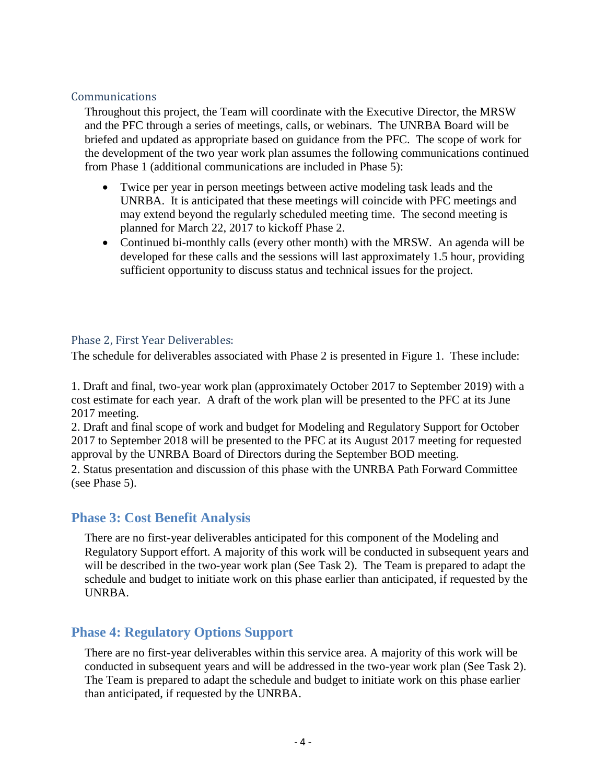#### Communications

Throughout this project, the Team will coordinate with the Executive Director, the MRSW and the PFC through a series of meetings, calls, or webinars. The UNRBA Board will be briefed and updated as appropriate based on guidance from the PFC. The scope of work for the development of the two year work plan assumes the following communications continued from Phase 1 (additional communications are included in Phase 5):

- Twice per year in person meetings between active modeling task leads and the UNRBA. It is anticipated that these meetings will coincide with PFC meetings and may extend beyond the regularly scheduled meeting time. The second meeting is planned for March 22, 2017 to kickoff Phase 2.
- Continued bi-monthly calls (every other month) with the MRSW. An agenda will be developed for these calls and the sessions will last approximately 1.5 hour, providing sufficient opportunity to discuss status and technical issues for the project.

#### Phase 2, First Year Deliverables:

The schedule for deliverables associated with Phase 2 is presented in Figure 1. These include:

1. Draft and final, two-year work plan (approximately October 2017 to September 2019) with a cost estimate for each year. A draft of the work plan will be presented to the PFC at its June 2017 meeting.

2. Draft and final scope of work and budget for Modeling and Regulatory Support for October 2017 to September 2018 will be presented to the PFC at its August 2017 meeting for requested approval by the UNRBA Board of Directors during the September BOD meeting.

2. Status presentation and discussion of this phase with the UNRBA Path Forward Committee (see Phase 5).

#### **Phase 3: Cost Benefit Analysis**

There are no first-year deliverables anticipated for this component of the Modeling and Regulatory Support effort. A majority of this work will be conducted in subsequent years and will be described in the two-year work plan (See Task 2). The Team is prepared to adapt the schedule and budget to initiate work on this phase earlier than anticipated, if requested by the UNRBA.

### **Phase 4: Regulatory Options Support**

There are no first-year deliverables within this service area. A majority of this work will be conducted in subsequent years and will be addressed in the two-year work plan (See Task 2). The Team is prepared to adapt the schedule and budget to initiate work on this phase earlier than anticipated, if requested by the UNRBA.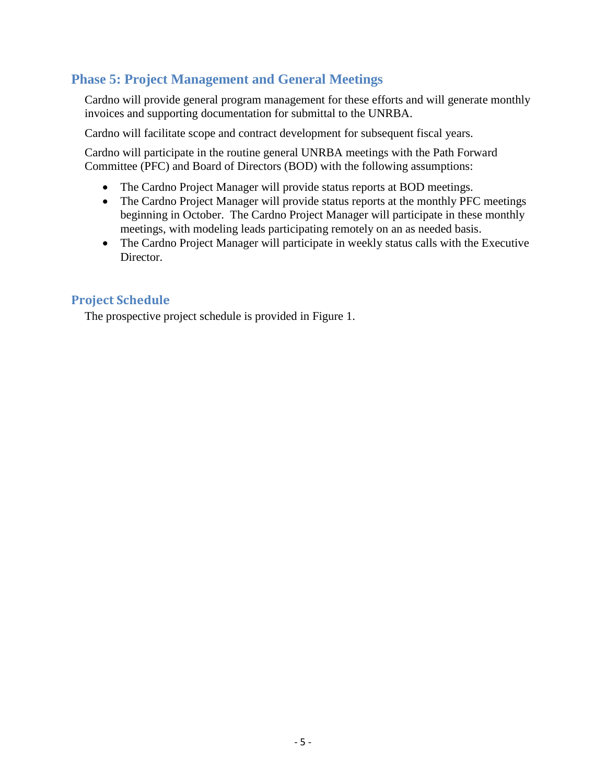## **Phase 5: Project Management and General Meetings**

Cardno will provide general program management for these efforts and will generate monthly invoices and supporting documentation for submittal to the UNRBA.

Cardno will facilitate scope and contract development for subsequent fiscal years.

Cardno will participate in the routine general UNRBA meetings with the Path Forward Committee (PFC) and Board of Directors (BOD) with the following assumptions:

- The Cardno Project Manager will provide status reports at BOD meetings.
- The Cardno Project Manager will provide status reports at the monthly PFC meetings beginning in October. The Cardno Project Manager will participate in these monthly meetings, with modeling leads participating remotely on an as needed basis.
- The Cardno Project Manager will participate in weekly status calls with the Executive Director.

### **Project Schedule**

The prospective project schedule is provided in Figure 1.